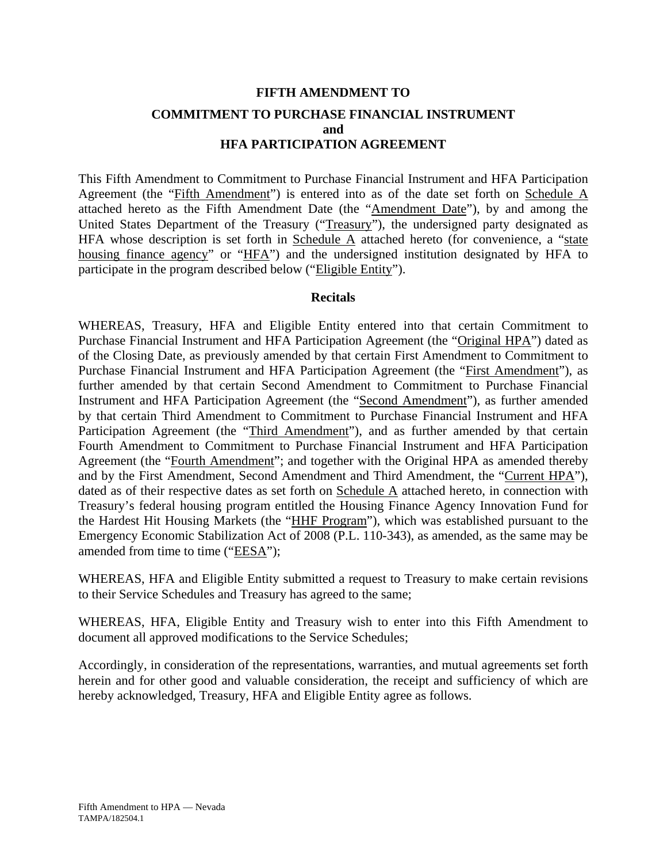# **FIFTH AMENDMENT TO COMMITMENT TO PURCHASE FINANCIAL INSTRUMENT and HFA PARTICIPATION AGREEMENT**

This Fifth Amendment to Commitment to Purchase Financial Instrument and HFA Participation Agreement (the "Fifth Amendment") is entered into as of the date set forth on Schedule A attached hereto as the Fifth Amendment Date (the "Amendment Date"), by and among the United States Department of the Treasury ("Treasury"), the undersigned party designated as HFA whose description is set forth in Schedule  $\overline{A}$  attached hereto (for convenience, a "state housing finance agency" or "HFA") and the undersigned institution designated by HFA to participate in the program described below ("Eligible Entity").

#### **Recitals**

WHEREAS, Treasury, HFA and Eligible Entity entered into that certain Commitment to Purchase Financial Instrument and HFA Participation Agreement (the "Original HPA") dated as of the Closing Date, as previously amended by that certain First Amendment to Commitment to Purchase Financial Instrument and HFA Participation Agreement (the "First Amendment"), as further amended by that certain Second Amendment to Commitment to Purchase Financial Instrument and HFA Participation Agreement (the "Second Amendment"), as further amended by that certain Third Amendment to Commitment to Purchase Financial Instrument and HFA Participation Agreement (the "Third Amendment"), and as further amended by that certain Fourth Amendment to Commitment to Purchase Financial Instrument and HFA Participation Agreement (the "Fourth Amendment"; and together with the Original HPA as amended thereby and by the First Amendment, Second Amendment and Third Amendment, the "Current HPA"), dated as of their respective dates as set forth on Schedule A attached hereto, in connection with Treasury's federal housing program entitled the Housing Finance Agency Innovation Fund for the Hardest Hit Housing Markets (the "HHF Program"), which was established pursuant to the Emergency Economic Stabilization Act of 2008 (P.L. 110-343), as amended, as the same may be amended from time to time ("EESA");

WHEREAS, HFA and Eligible Entity submitted a request to Treasury to make certain revisions to their Service Schedules and Treasury has agreed to the same;

WHEREAS, HFA, Eligible Entity and Treasury wish to enter into this Fifth Amendment to document all approved modifications to the Service Schedules;

Accordingly, in consideration of the representations, warranties, and mutual agreements set forth herein and for other good and valuable consideration, the receipt and sufficiency of which are hereby acknowledged, Treasury, HFA and Eligible Entity agree as follows.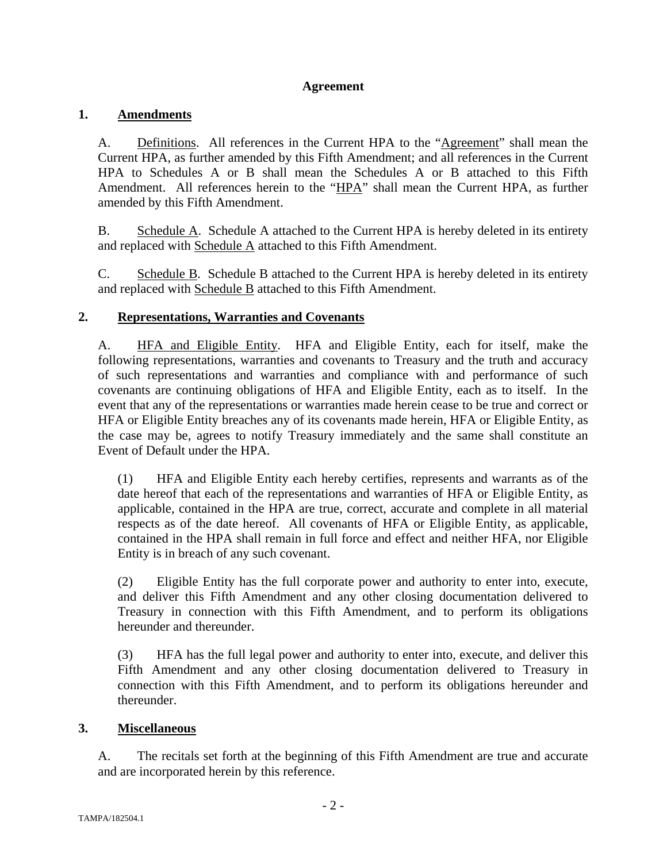# **Agreement**

# **1. Amendments**

A. Definitions. All references in the Current HPA to the "Agreement" shall mean the Current HPA, as further amended by this Fifth Amendment; and all references in the Current HPA to Schedules A or B shall mean the Schedules A or B attached to this Fifth Amendment. All references herein to the "HPA" shall mean the Current HPA, as further amended by this Fifth Amendment.

B. Schedule A. Schedule A attached to the Current HPA is hereby deleted in its entirety and replaced with Schedule A attached to this Fifth Amendment.

C. Schedule B. Schedule B attached to the Current HPA is hereby deleted in its entirety and replaced with Schedule B attached to this Fifth Amendment.

# **2. Representations, Warranties and Covenants**

A. HFA and Eligible Entity. HFA and Eligible Entity, each for itself, make the following representations, warranties and covenants to Treasury and the truth and accuracy of such representations and warranties and compliance with and performance of such covenants are continuing obligations of HFA and Eligible Entity, each as to itself. In the event that any of the representations or warranties made herein cease to be true and correct or HFA or Eligible Entity breaches any of its covenants made herein, HFA or Eligible Entity, as the case may be, agrees to notify Treasury immediately and the same shall constitute an Event of Default under the HPA.

(1) HFA and Eligible Entity each hereby certifies, represents and warrants as of the date hereof that each of the representations and warranties of HFA or Eligible Entity, as applicable, contained in the HPA are true, correct, accurate and complete in all material respects as of the date hereof. All covenants of HFA or Eligible Entity, as applicable, contained in the HPA shall remain in full force and effect and neither HFA, nor Eligible Entity is in breach of any such covenant.

(2) Eligible Entity has the full corporate power and authority to enter into, execute, and deliver this Fifth Amendment and any other closing documentation delivered to Treasury in connection with this Fifth Amendment, and to perform its obligations hereunder and thereunder.

(3) HFA has the full legal power and authority to enter into, execute, and deliver this Fifth Amendment and any other closing documentation delivered to Treasury in connection with this Fifth Amendment, and to perform its obligations hereunder and thereunder.

# **3. Miscellaneous**

A. The recitals set forth at the beginning of this Fifth Amendment are true and accurate and are incorporated herein by this reference.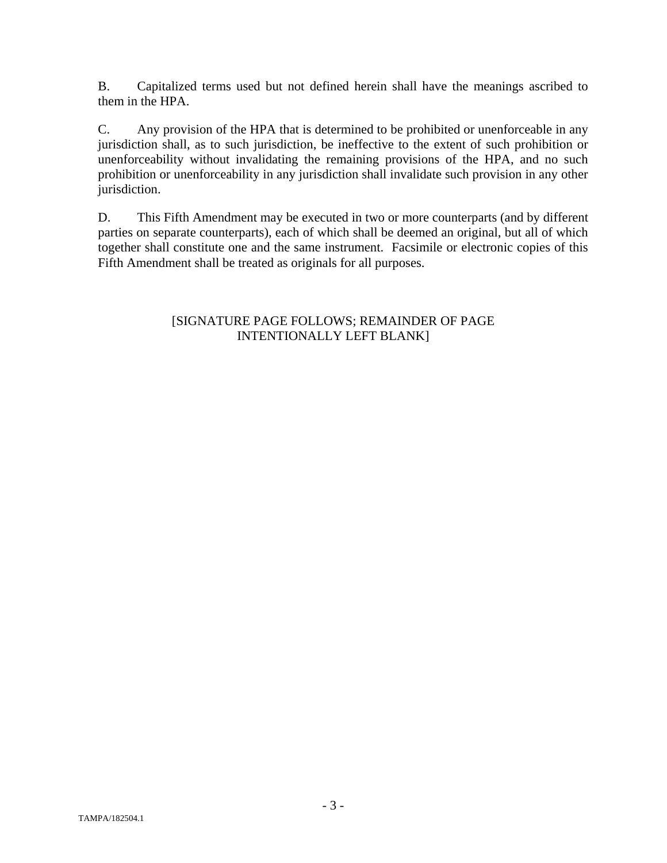B. Capitalized terms used but not defined herein shall have the meanings ascribed to them in the HPA.

C. Any provision of the HPA that is determined to be prohibited or unenforceable in any jurisdiction shall, as to such jurisdiction, be ineffective to the extent of such prohibition or unenforceability without invalidating the remaining provisions of the HPA, and no such prohibition or unenforceability in any jurisdiction shall invalidate such provision in any other jurisdiction.

D. This Fifth Amendment may be executed in two or more counterparts (and by different parties on separate counterparts), each of which shall be deemed an original, but all of which together shall constitute one and the same instrument. Facsimile or electronic copies of this Fifth Amendment shall be treated as originals for all purposes.

# [SIGNATURE PAGE FOLLOWS; REMAINDER OF PAGE INTENTIONALLY LEFT BLANK]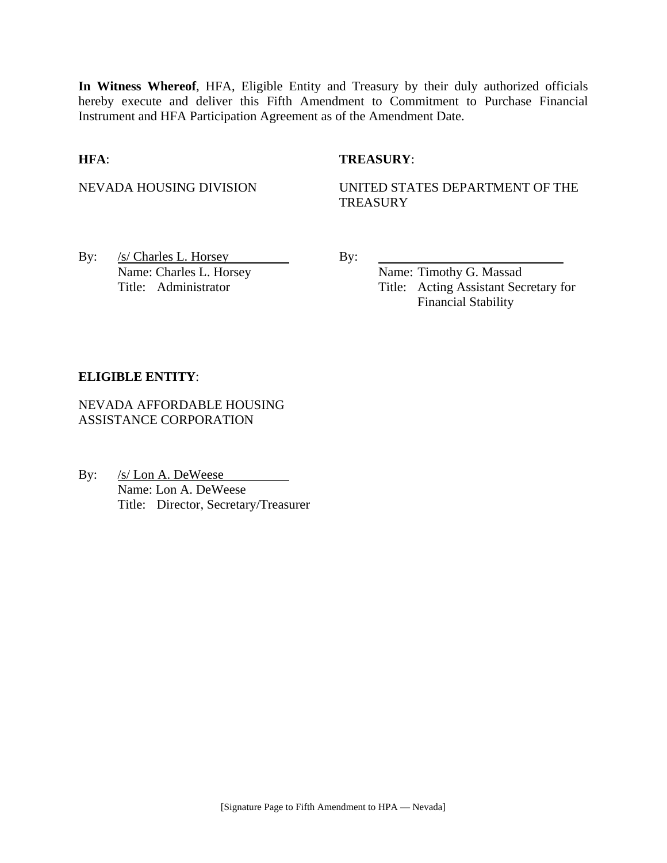**In Witness Whereof**, HFA, Eligible Entity and Treasury by their duly authorized officials hereby execute and deliver this Fifth Amendment to Commitment to Purchase Financial Instrument and HFA Participation Agreement as of the Amendment Date.

## **HFA**: **TREASURY**:

NEVADA HOUSING DIVISION UNITED STATES DEPARTMENT OF THE **TREASURY** 

By:  $/s/$  Charles L. Horsey By: Name: Charles L. Horsey Name: Timothy G. Massad

Title: Administrator Title: Acting Assistant Secretary for Financial Stability

## **ELIGIBLE ENTITY**:

NEVADA AFFORDABLE HOUSING ASSISTANCE CORPORATION

By: /s/ Lon A. DeWeese Name: Lon A. DeWeese Title: Director, Secretary/Treasurer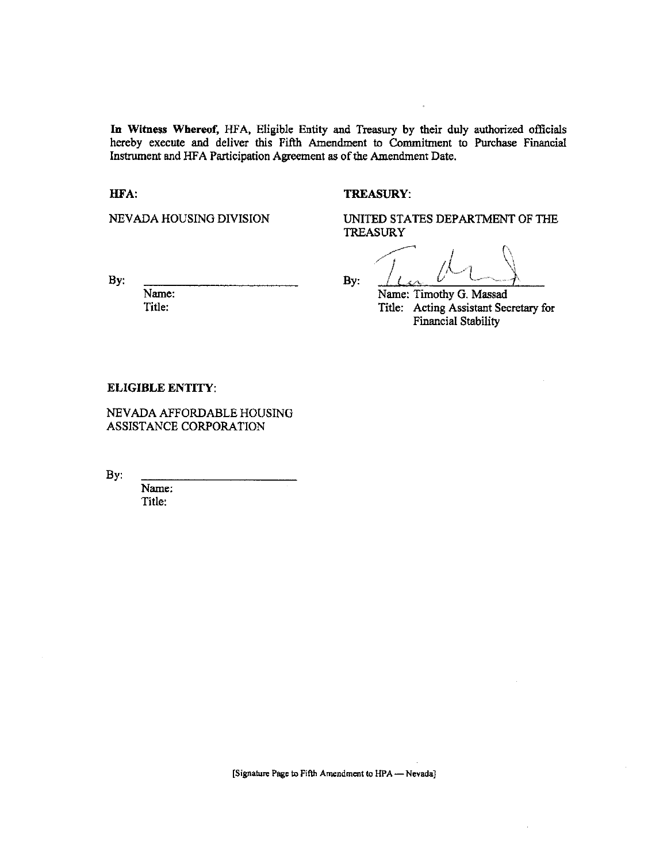In Witness Whereof, HFA, Eligible Entity and Treasury by their duly authorized officials hereby execute and deliver this Fifth Amendment to Commitment to Purchase Financial Instrument and HFA Participation Agreement as of the Amendment Date.

HFA:

#### **TREASURY:**

NEVADA HOUSING DIVISION

UNITED STATES DEPARTMENT OF THE **TREASURY** 

By:

Name: Title:

By:

Name: Timothy G. Massad

Title: Acting Assistant Secretary for **Financial Stability** 

#### **ELIGIBLE ENTITY:**

NEVADA AFFORDABLE HOUSING ASSISTANCE CORPORATION

By:

Name: Title: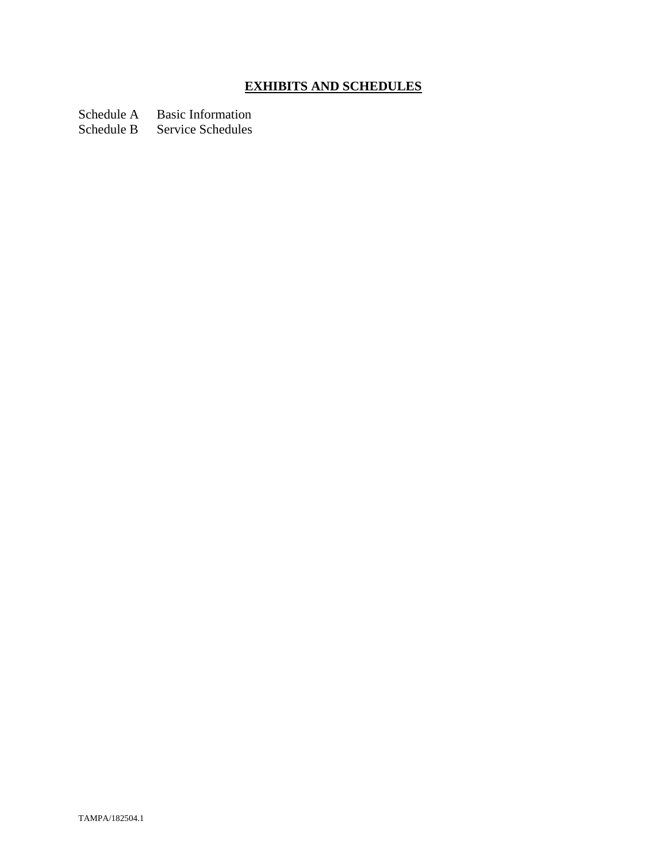# **EXHIBITS AND SCHEDULES**

Schedule A Basic Information

Schedule B Service Schedules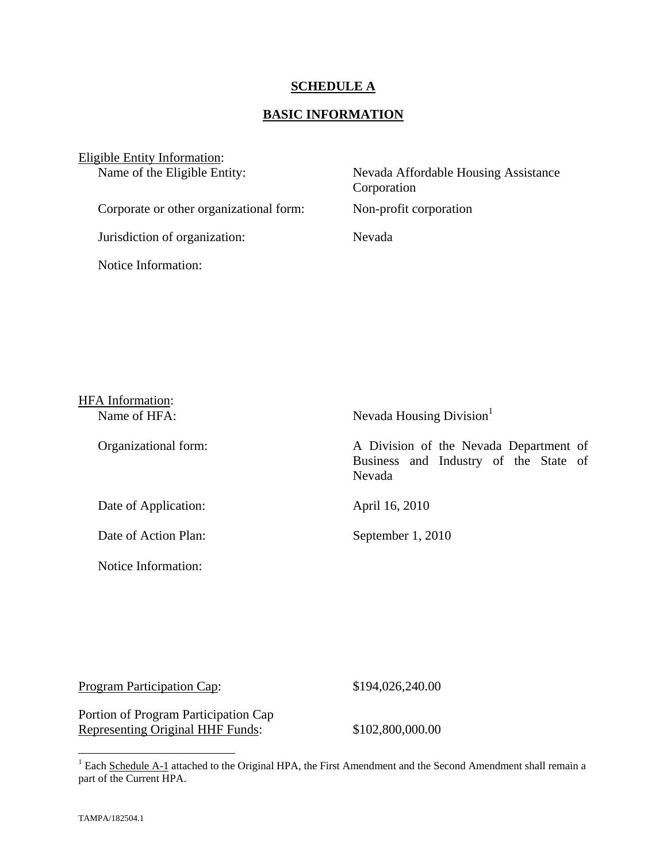## **SCHEDULE A**

# **BASIC INFORMATION**

| Eligible Entity Information:            |                                                     |
|-----------------------------------------|-----------------------------------------------------|
| Name of the Eligible Entity:            | Nevada Affordable Housing Assistance<br>Corporation |
| Corporate or other organizational form: | Non-profit corporation                              |
| Jurisdiction of organization:           | Nevada                                              |
| Notice Information:                     |                                                     |

| <b>HFA</b> Information: |                                                                                           |
|-------------------------|-------------------------------------------------------------------------------------------|
| Name of HFA:            | Nevada Housing Division                                                                   |
| Organizational form:    | A Division of the Nevada Department of<br>Business and Industry of the State of<br>Nevada |
| Date of Application:    | April 16, 2010                                                                            |
| Date of Action Plan:    | September 1, 2010                                                                         |
| Notice Information:     |                                                                                           |

 $$194,026,240.00$ 

Portion of Program Participation Cap Representing Original HHF Funds: \$102,800,000.00

<sup>&</sup>lt;sup>1</sup> Each Schedule A-1 attached to the Original HPA, the First Amendment and the Second Amendment shall remain a part of the Current HPA.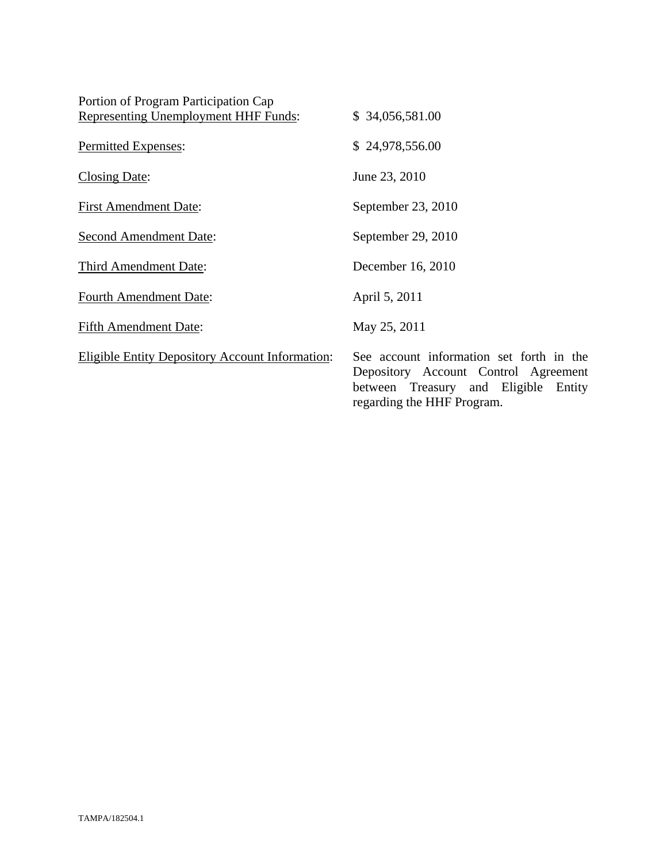| Portion of Program Participation Cap                   |                                                                                                                                                        |
|--------------------------------------------------------|--------------------------------------------------------------------------------------------------------------------------------------------------------|
| <b>Representing Unemployment HHF Funds:</b>            | \$34,056,581.00                                                                                                                                        |
| Permitted Expenses:                                    | \$24,978,556.00                                                                                                                                        |
| Closing Date:                                          | June 23, 2010                                                                                                                                          |
| <b>First Amendment Date:</b>                           | September 23, 2010                                                                                                                                     |
| <b>Second Amendment Date:</b>                          | September 29, 2010                                                                                                                                     |
| <b>Third Amendment Date:</b>                           | December 16, 2010                                                                                                                                      |
| <b>Fourth Amendment Date:</b>                          | April 5, 2011                                                                                                                                          |
| <b>Fifth Amendment Date:</b>                           | May 25, 2011                                                                                                                                           |
| <b>Eligible Entity Depository Account Information:</b> | See account information set forth in the<br>Depository Account Control Agreement<br>between Treasury and Eligible Entity<br>regarding the HHF Program. |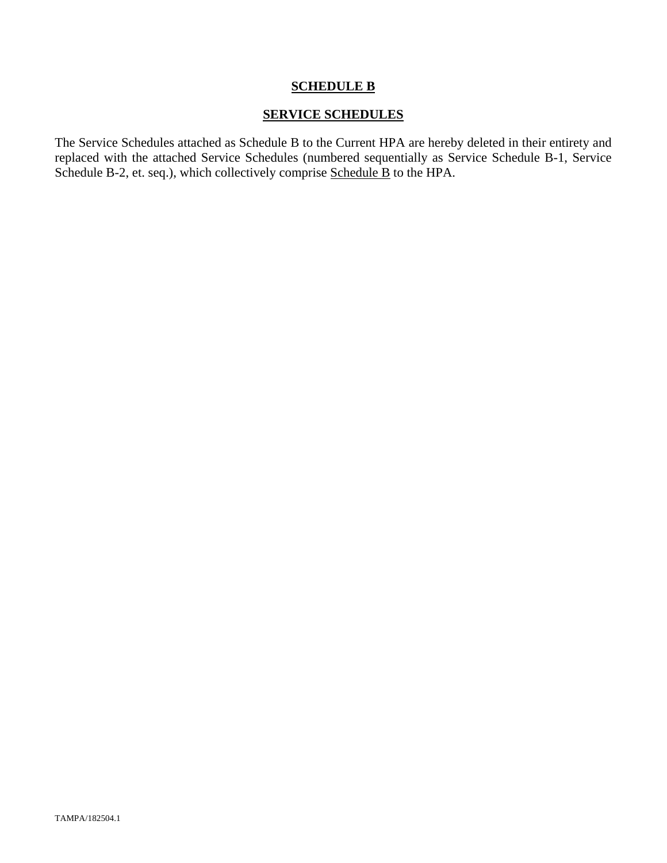## **SCHEDULE B**

## **SERVICE SCHEDULES**

The Service Schedules attached as Schedule B to the Current HPA are hereby deleted in their entirety and replaced with the attached Service Schedules (numbered sequentially as Service Schedule B-1, Service Schedule B-2, et. seq.), which collectively comprise Schedule B to the HPA.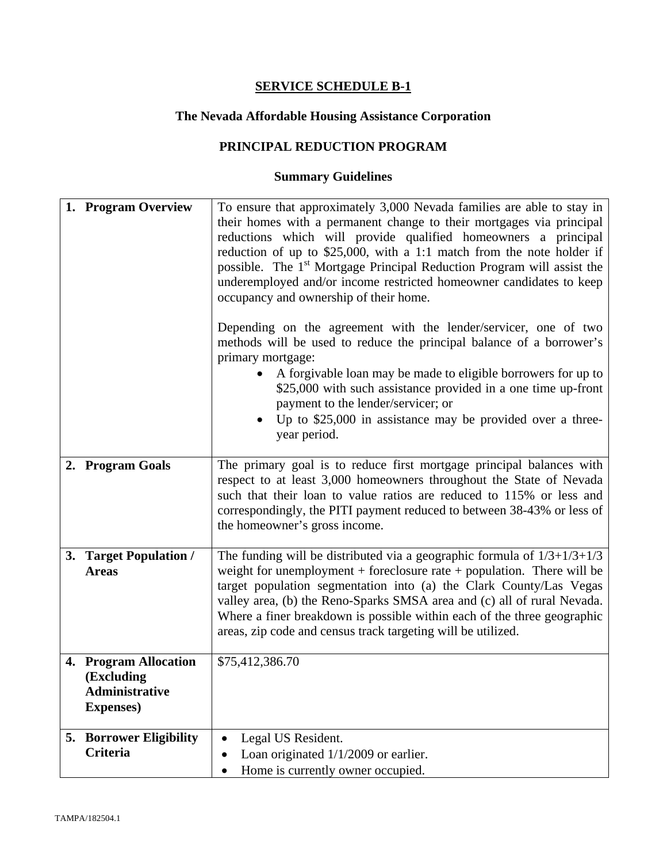# **The Nevada Affordable Housing Assistance Corporation**

# **PRINCIPAL REDUCTION PROGRAM**

| 1. Program Overview                                                               | To ensure that approximately 3,000 Nevada families are able to stay in<br>their homes with a permanent change to their mortgages via principal<br>reductions which will provide qualified homeowners a principal<br>reduction of up to $$25,000$ , with a 1:1 match from the note holder if<br>possible. The 1 <sup>st</sup> Mortgage Principal Reduction Program will assist the<br>underemployed and/or income restricted homeowner candidates to keep<br>occupancy and ownership of their home. |
|-----------------------------------------------------------------------------------|----------------------------------------------------------------------------------------------------------------------------------------------------------------------------------------------------------------------------------------------------------------------------------------------------------------------------------------------------------------------------------------------------------------------------------------------------------------------------------------------------|
|                                                                                   | Depending on the agreement with the lender/servicer, one of two<br>methods will be used to reduce the principal balance of a borrower's<br>primary mortgage:<br>A forgivable loan may be made to eligible borrowers for up to<br>\$25,000 with such assistance provided in a one time up-front<br>payment to the lender/servicer; or                                                                                                                                                               |
|                                                                                   | Up to \$25,000 in assistance may be provided over a three-<br>year period.                                                                                                                                                                                                                                                                                                                                                                                                                         |
| 2. Program Goals                                                                  | The primary goal is to reduce first mortgage principal balances with<br>respect to at least 3,000 homeowners throughout the State of Nevada<br>such that their loan to value ratios are reduced to 115% or less and<br>correspondingly, the PITI payment reduced to between 38-43% or less of<br>the homeowner's gross income.                                                                                                                                                                     |
| 3. Target Population /<br><b>Areas</b>                                            | The funding will be distributed via a geographic formula of $1/3+1/3+1/3$<br>weight for unemployment + foreclosure rate + population. There will be<br>target population segmentation into (a) the Clark County/Las Vegas<br>valley area, (b) the Reno-Sparks SMSA area and (c) all of rural Nevada.<br>Where a finer breakdown is possible within each of the three geographic<br>areas, zip code and census track targeting will be utilized.                                                    |
| 4. Program Allocation<br>(Excluding<br><b>Administrative</b><br><b>Expenses</b> ) | \$75,412,386.70                                                                                                                                                                                                                                                                                                                                                                                                                                                                                    |
| <b>5. Borrower Eligibility</b><br><b>Criteria</b>                                 | Legal US Resident.<br>$\bullet$<br>Loan originated $1/1/2009$ or earlier.<br>٠<br>Home is currently owner occupied.<br>٠                                                                                                                                                                                                                                                                                                                                                                           |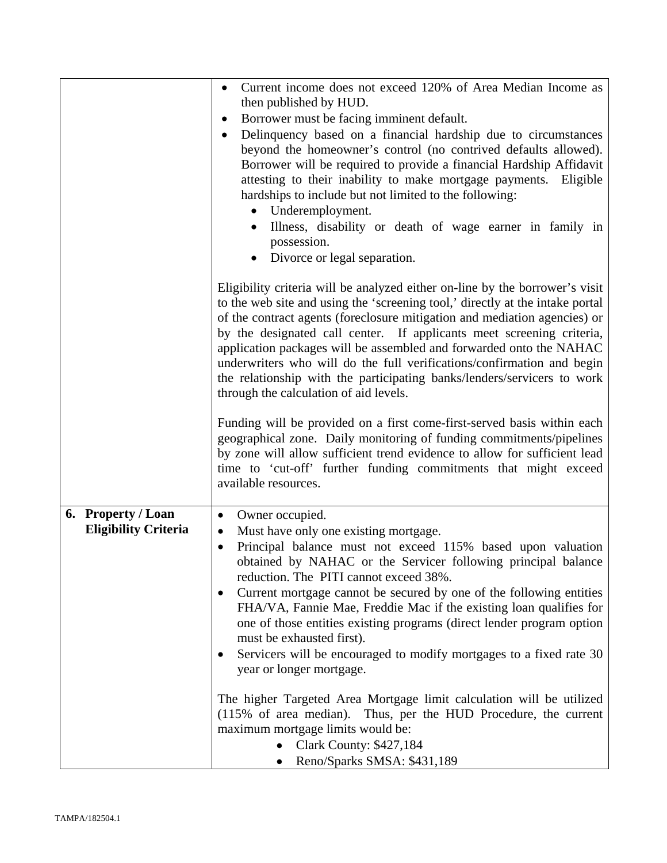|                             | Current income does not exceed 120% of Area Median Income as<br>$\bullet$                                                                                                                                                                                                                                                                                                                                                                                                                                                                                                                 |  |
|-----------------------------|-------------------------------------------------------------------------------------------------------------------------------------------------------------------------------------------------------------------------------------------------------------------------------------------------------------------------------------------------------------------------------------------------------------------------------------------------------------------------------------------------------------------------------------------------------------------------------------------|--|
|                             | then published by HUD.<br>Borrower must be facing imminent default.<br>$\bullet$                                                                                                                                                                                                                                                                                                                                                                                                                                                                                                          |  |
|                             |                                                                                                                                                                                                                                                                                                                                                                                                                                                                                                                                                                                           |  |
|                             | Delinquency based on a financial hardship due to circumstances<br>$\bullet$<br>beyond the homeowner's control (no contrived defaults allowed).<br>Borrower will be required to provide a financial Hardship Affidavit<br>attesting to their inability to make mortgage payments. Eligible<br>hardships to include but not limited to the following:<br>Underemployment.<br>$\bullet$<br>Illness, disability or death of wage earner in family in<br>possession.<br>Divorce or legal separation.<br>$\bullet$                                                                              |  |
|                             | Eligibility criteria will be analyzed either on-line by the borrower's visit<br>to the web site and using the 'screening tool,' directly at the intake portal<br>of the contract agents (foreclosure mitigation and mediation agencies) or<br>by the designated call center. If applicants meet screening criteria,<br>application packages will be assembled and forwarded onto the NAHAC<br>underwriters who will do the full verifications/confirmation and begin<br>the relationship with the participating banks/lenders/servicers to work<br>through the calculation of aid levels. |  |
|                             | Funding will be provided on a first come-first-served basis within each<br>geographical zone. Daily monitoring of funding commitments/pipelines<br>by zone will allow sufficient trend evidence to allow for sufficient lead<br>time to 'cut-off' further funding commitments that might exceed<br>available resources.                                                                                                                                                                                                                                                                   |  |
| 6. Property / Loan          | Owner occupied.<br>$\bullet$                                                                                                                                                                                                                                                                                                                                                                                                                                                                                                                                                              |  |
| <b>Eligibility Criteria</b> | Must have only one existing mortgage.<br>٠                                                                                                                                                                                                                                                                                                                                                                                                                                                                                                                                                |  |
|                             | Principal balance must not exceed 115% based upon valuation<br>obtained by NAHAC or the Servicer following principal balance<br>reduction. The PITI cannot exceed 38%.                                                                                                                                                                                                                                                                                                                                                                                                                    |  |
|                             | Current mortgage cannot be secured by one of the following entities<br>FHA/VA, Fannie Mae, Freddie Mac if the existing loan qualifies for<br>one of those entities existing programs (direct lender program option<br>must be exhausted first).                                                                                                                                                                                                                                                                                                                                           |  |
|                             | Servicers will be encouraged to modify mortgages to a fixed rate 30<br>year or longer mortgage.                                                                                                                                                                                                                                                                                                                                                                                                                                                                                           |  |
|                             | The higher Targeted Area Mortgage limit calculation will be utilized<br>(115% of area median). Thus, per the HUD Procedure, the current<br>maximum mortgage limits would be:<br><b>Clark County: \$427,184</b>                                                                                                                                                                                                                                                                                                                                                                            |  |
|                             | Reno/Sparks SMSA: \$431,189                                                                                                                                                                                                                                                                                                                                                                                                                                                                                                                                                               |  |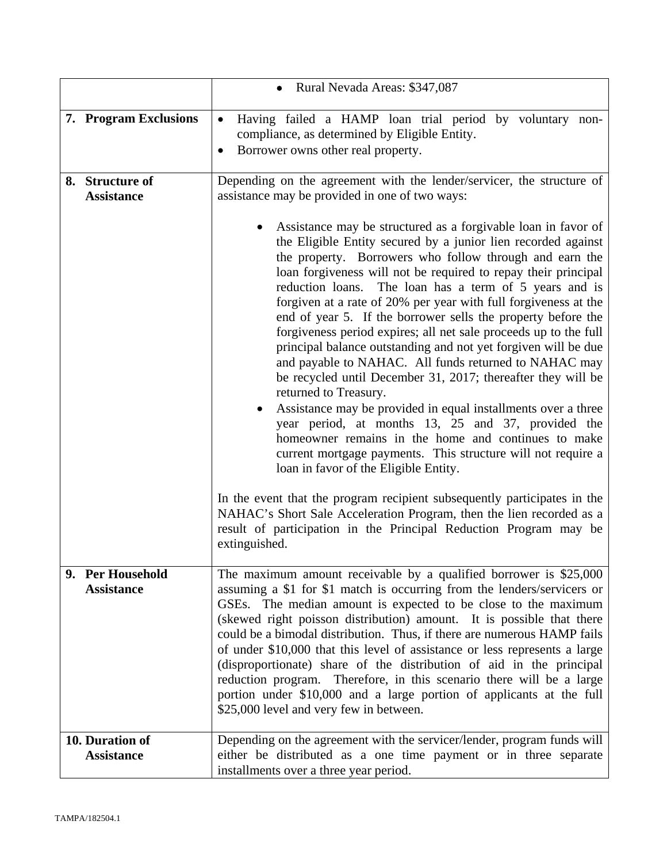|                                      | • Rural Nevada Areas: \$347,087                                                                                                                                                                                                                                                                                                                                                                                                                                                                                                                                                                                                                                                                                                                                                                                                                                                                                                                                                                                                                                                                                                                                                                                                                                     |  |
|--------------------------------------|---------------------------------------------------------------------------------------------------------------------------------------------------------------------------------------------------------------------------------------------------------------------------------------------------------------------------------------------------------------------------------------------------------------------------------------------------------------------------------------------------------------------------------------------------------------------------------------------------------------------------------------------------------------------------------------------------------------------------------------------------------------------------------------------------------------------------------------------------------------------------------------------------------------------------------------------------------------------------------------------------------------------------------------------------------------------------------------------------------------------------------------------------------------------------------------------------------------------------------------------------------------------|--|
| 7. Program Exclusions                | Having failed a HAMP loan trial period by voluntary non-<br>$\bullet$<br>compliance, as determined by Eligible Entity.<br>Borrower owns other real property.                                                                                                                                                                                                                                                                                                                                                                                                                                                                                                                                                                                                                                                                                                                                                                                                                                                                                                                                                                                                                                                                                                        |  |
| 8. Structure of<br><b>Assistance</b> | Depending on the agreement with the lender/servicer, the structure of<br>assistance may be provided in one of two ways:                                                                                                                                                                                                                                                                                                                                                                                                                                                                                                                                                                                                                                                                                                                                                                                                                                                                                                                                                                                                                                                                                                                                             |  |
|                                      | Assistance may be structured as a forgivable loan in favor of<br>the Eligible Entity secured by a junior lien recorded against<br>the property. Borrowers who follow through and earn the<br>loan forgiveness will not be required to repay their principal<br>The loan has a term of 5 years and is<br>reduction loans.<br>forgiven at a rate of 20% per year with full forgiveness at the<br>end of year 5. If the borrower sells the property before the<br>forgiveness period expires; all net sale proceeds up to the full<br>principal balance outstanding and not yet forgiven will be due<br>and payable to NAHAC. All funds returned to NAHAC may<br>be recycled until December 31, 2017; thereafter they will be<br>returned to Treasury.<br>Assistance may be provided in equal installments over a three<br>year period, at months 13, 25 and 37, provided the<br>homeowner remains in the home and continues to make<br>current mortgage payments. This structure will not require a<br>loan in favor of the Eligible Entity.<br>In the event that the program recipient subsequently participates in the<br>NAHAC's Short Sale Acceleration Program, then the lien recorded as a<br>result of participation in the Principal Reduction Program may be |  |
| 9. Per Household                     | The maximum amount receivable by a qualified borrower is \$25,000                                                                                                                                                                                                                                                                                                                                                                                                                                                                                                                                                                                                                                                                                                                                                                                                                                                                                                                                                                                                                                                                                                                                                                                                   |  |
| <b>Assistance</b>                    | assuming a \$1 for \$1 match is occurring from the lenders/servicers or<br>GSEs. The median amount is expected to be close to the maximum<br>(skewed right poisson distribution) amount. It is possible that there<br>could be a bimodal distribution. Thus, if there are numerous HAMP fails<br>of under \$10,000 that this level of assistance or less represents a large<br>(disproportionate) share of the distribution of aid in the principal<br>reduction program. Therefore, in this scenario there will be a large<br>portion under \$10,000 and a large portion of applicants at the full<br>\$25,000 level and very few in between.                                                                                                                                                                                                                                                                                                                                                                                                                                                                                                                                                                                                                      |  |
| 10. Duration of<br><b>Assistance</b> | Depending on the agreement with the servicer/lender, program funds will<br>either be distributed as a one time payment or in three separate                                                                                                                                                                                                                                                                                                                                                                                                                                                                                                                                                                                                                                                                                                                                                                                                                                                                                                                                                                                                                                                                                                                         |  |
|                                      | installments over a three year period.                                                                                                                                                                                                                                                                                                                                                                                                                                                                                                                                                                                                                                                                                                                                                                                                                                                                                                                                                                                                                                                                                                                                                                                                                              |  |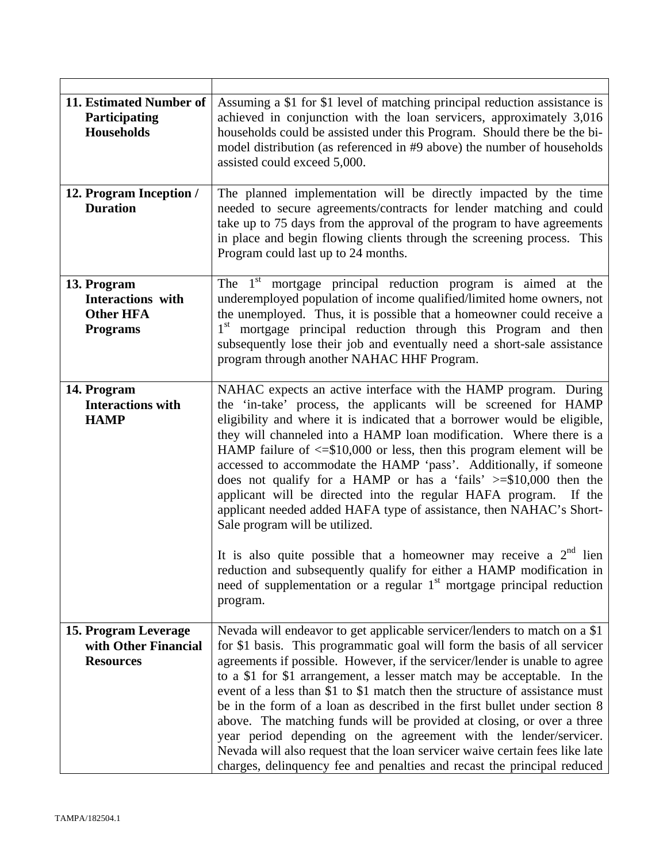| 11. Estimated Number of<br>Participating<br><b>Households</b>           | Assuming a \$1 for \$1 level of matching principal reduction assistance is<br>achieved in conjunction with the loan servicers, approximately 3,016<br>households could be assisted under this Program. Should there be the bi-<br>model distribution (as referenced in #9 above) the number of households<br>assisted could exceed 5,000.                                                                                                                                                                                                                                                                                                                                                                                                                                           |  |  |
|-------------------------------------------------------------------------|-------------------------------------------------------------------------------------------------------------------------------------------------------------------------------------------------------------------------------------------------------------------------------------------------------------------------------------------------------------------------------------------------------------------------------------------------------------------------------------------------------------------------------------------------------------------------------------------------------------------------------------------------------------------------------------------------------------------------------------------------------------------------------------|--|--|
| 12. Program Inception /<br><b>Duration</b>                              | The planned implementation will be directly impacted by the time<br>needed to secure agreements/contracts for lender matching and could<br>take up to 75 days from the approval of the program to have agreements<br>in place and begin flowing clients through the screening process. This<br>Program could last up to 24 months.                                                                                                                                                                                                                                                                                                                                                                                                                                                  |  |  |
| 13. Program<br>Interactions with<br><b>Other HFA</b><br><b>Programs</b> | The $1st$ mortgage principal reduction program is aimed at the<br>underemployed population of income qualified/limited home owners, not<br>the unemployed. Thus, it is possible that a homeowner could receive a<br>1 <sup>st</sup> mortgage principal reduction through this Program and then<br>subsequently lose their job and eventually need a short-sale assistance<br>program through another NAHAC HHF Program.                                                                                                                                                                                                                                                                                                                                                             |  |  |
| 14. Program<br><b>Interactions with</b><br><b>HAMP</b>                  | NAHAC expects an active interface with the HAMP program. During<br>the 'in-take' process, the applicants will be screened for HAMP<br>eligibility and where it is indicated that a borrower would be eligible,<br>they will channeled into a HAMP loan modification. Where there is a<br>HAMP failure of $\leq$ \$10,000 or less, then this program element will be<br>accessed to accommodate the HAMP 'pass'. Additionally, if someone<br>does not qualify for a HAMP or has a 'fails' $\ge$ \$10,000 then the<br>applicant will be directed into the regular HAFA program. If the<br>applicant needed added HAFA type of assistance, then NAHAC's Short-<br>Sale program will be utilized.                                                                                       |  |  |
|                                                                         | It is also quite possible that a homeowner may receive a $2nd$ lien<br>reduction and subsequently qualify for either a HAMP modification in<br>need of supplementation or a regular 1 <sup>st</sup> mortgage principal reduction<br>program.                                                                                                                                                                                                                                                                                                                                                                                                                                                                                                                                        |  |  |
| 15. Program Leverage<br>with Other Financial<br><b>Resources</b>        | Nevada will endeavor to get applicable servicer/lenders to match on a \$1<br>for \$1 basis. This programmatic goal will form the basis of all servicer<br>agreements if possible. However, if the servicer/lender is unable to agree<br>to a \$1 for \$1 arrangement, a lesser match may be acceptable. In the<br>event of a less than \$1 to \$1 match then the structure of assistance must<br>be in the form of a loan as described in the first bullet under section 8<br>above. The matching funds will be provided at closing, or over a three<br>year period depending on the agreement with the lender/servicer.<br>Nevada will also request that the loan servicer waive certain fees like late<br>charges, delinquency fee and penalties and recast the principal reduced |  |  |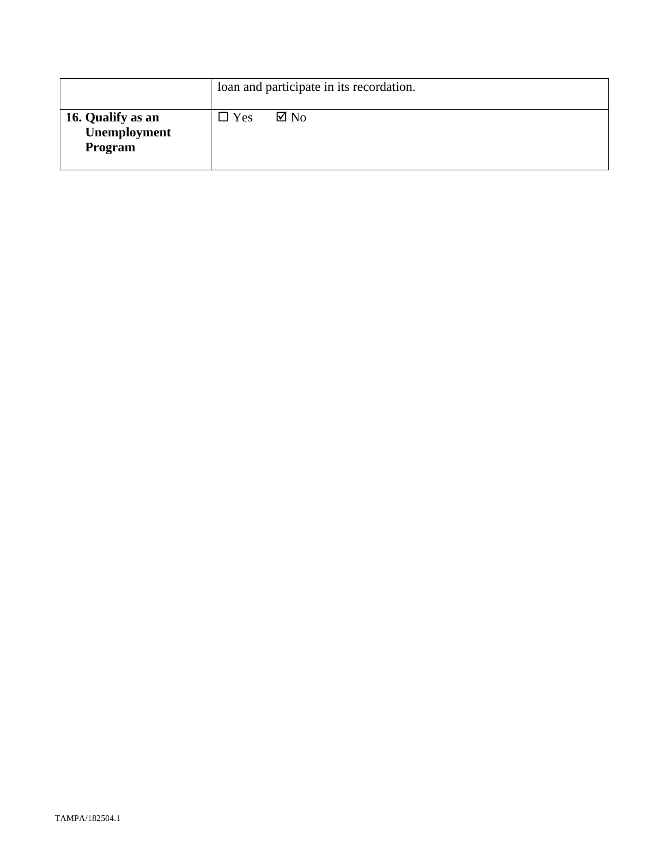|                                              |            | loan and participate in its recordation. |
|----------------------------------------------|------------|------------------------------------------|
| 16. Qualify as an<br>Unemployment<br>Program | $\Box$ Yes | $\boxtimes$ No                           |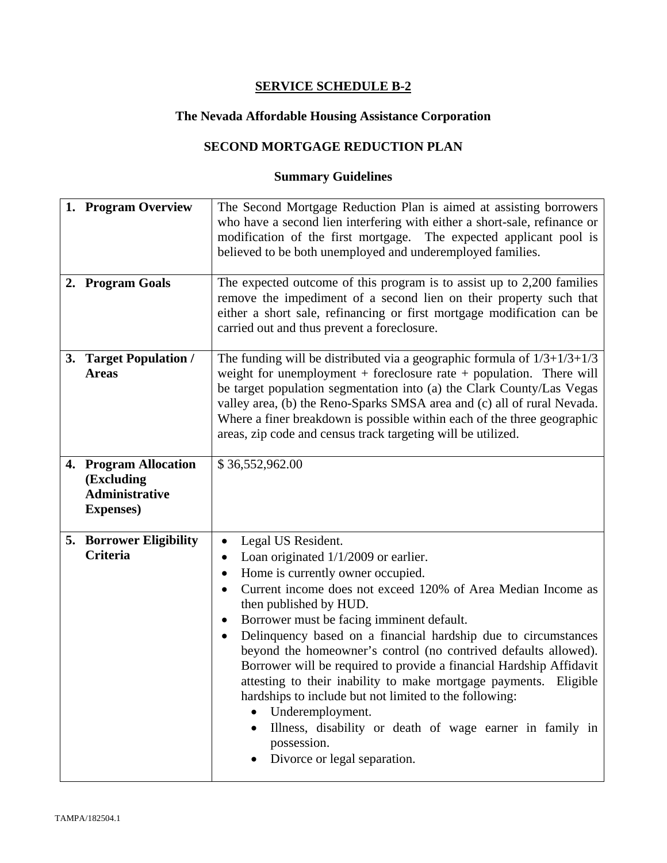# **The Nevada Affordable Housing Assistance Corporation**

# **SECOND MORTGAGE REDUCTION PLAN**

| 1. Program Overview                                                               | The Second Mortgage Reduction Plan is aimed at assisting borrowers<br>who have a second lien interfering with either a short-sale, refinance or<br>modification of the first mortgage. The expected applicant pool is<br>believed to be both unemployed and underemployed families.                                                                                                                                                                                                                                                                                                                                                                                                                                                                                        |  |
|-----------------------------------------------------------------------------------|----------------------------------------------------------------------------------------------------------------------------------------------------------------------------------------------------------------------------------------------------------------------------------------------------------------------------------------------------------------------------------------------------------------------------------------------------------------------------------------------------------------------------------------------------------------------------------------------------------------------------------------------------------------------------------------------------------------------------------------------------------------------------|--|
| 2. Program Goals                                                                  | The expected outcome of this program is to assist up to 2,200 families<br>remove the impediment of a second lien on their property such that<br>either a short sale, refinancing or first mortgage modification can be<br>carried out and thus prevent a foreclosure.                                                                                                                                                                                                                                                                                                                                                                                                                                                                                                      |  |
| 3. Target Population /<br><b>Areas</b>                                            | The funding will be distributed via a geographic formula of $1/3+1/3+1/3$<br>weight for unemployment + foreclosure rate + population. There will<br>be target population segmentation into (a) the Clark County/Las Vegas<br>valley area, (b) the Reno-Sparks SMSA area and (c) all of rural Nevada.<br>Where a finer breakdown is possible within each of the three geographic<br>areas, zip code and census track targeting will be utilized.                                                                                                                                                                                                                                                                                                                            |  |
| 4. Program Allocation<br>(Excluding<br><b>Administrative</b><br><b>Expenses</b> ) | \$36,552,962.00                                                                                                                                                                                                                                                                                                                                                                                                                                                                                                                                                                                                                                                                                                                                                            |  |
| <b>5. Borrower Eligibility</b><br>Criteria                                        | Legal US Resident.<br>$\bullet$<br>Loan originated $1/1/2009$ or earlier.<br>Home is currently owner occupied.<br>٠<br>Current income does not exceed 120% of Area Median Income as<br>$\bullet$<br>then published by HUD.<br>Borrower must be facing imminent default.<br>$\bullet$<br>Delinquency based on a financial hardship due to circumstances<br>$\bullet$<br>beyond the homeowner's control (no contrived defaults allowed).<br>Borrower will be required to provide a financial Hardship Affidavit<br>attesting to their inability to make mortgage payments. Eligible<br>hardships to include but not limited to the following:<br>Underemployment.<br>Illness, disability or death of wage earner in family in<br>possession.<br>Divorce or legal separation. |  |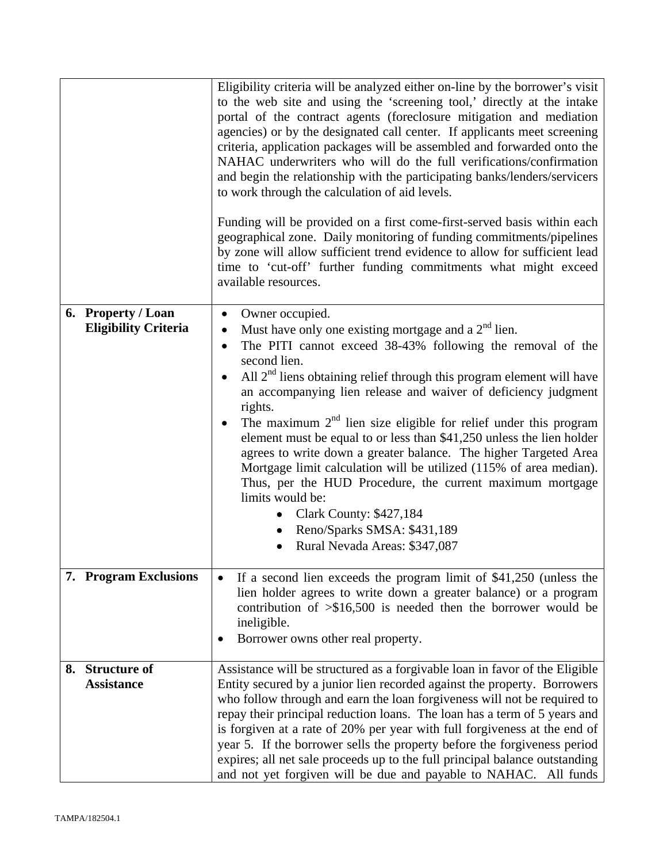|                                                   | Eligibility criteria will be analyzed either on-line by the borrower's visit<br>to the web site and using the 'screening tool,' directly at the intake<br>portal of the contract agents (foreclosure mitigation and mediation<br>agencies) or by the designated call center. If applicants meet screening<br>criteria, application packages will be assembled and forwarded onto the<br>NAHAC underwriters who will do the full verifications/confirmation<br>and begin the relationship with the participating banks/lenders/servicers<br>to work through the calculation of aid levels.<br>Funding will be provided on a first come-first-served basis within each<br>geographical zone. Daily monitoring of funding commitments/pipelines<br>by zone will allow sufficient trend evidence to allow for sufficient lead<br>time to 'cut-off' further funding commitments what might exceed<br>available resources. |  |
|---------------------------------------------------|----------------------------------------------------------------------------------------------------------------------------------------------------------------------------------------------------------------------------------------------------------------------------------------------------------------------------------------------------------------------------------------------------------------------------------------------------------------------------------------------------------------------------------------------------------------------------------------------------------------------------------------------------------------------------------------------------------------------------------------------------------------------------------------------------------------------------------------------------------------------------------------------------------------------|--|
| 6. Property / Loan<br><b>Eligibility Criteria</b> | Owner occupied.<br>$\bullet$<br>Must have only one existing mortgage and a $2nd$ lien.<br>$\bullet$                                                                                                                                                                                                                                                                                                                                                                                                                                                                                                                                                                                                                                                                                                                                                                                                                  |  |
|                                                   | The PITI cannot exceed 38-43% following the removal of the<br>second lien.                                                                                                                                                                                                                                                                                                                                                                                                                                                                                                                                                                                                                                                                                                                                                                                                                                           |  |
|                                                   | All $2nd$ liens obtaining relief through this program element will have                                                                                                                                                                                                                                                                                                                                                                                                                                                                                                                                                                                                                                                                                                                                                                                                                                              |  |
|                                                   | an accompanying lien release and waiver of deficiency judgment<br>rights.                                                                                                                                                                                                                                                                                                                                                                                                                                                                                                                                                                                                                                                                                                                                                                                                                                            |  |
|                                                   | The maximum $2nd$ lien size eligible for relief under this program<br>$\bullet$<br>element must be equal to or less than \$41,250 unless the lien holder<br>agrees to write down a greater balance. The higher Targeted Area<br>Mortgage limit calculation will be utilized (115% of area median).<br>Thus, per the HUD Procedure, the current maximum mortgage<br>limits would be:                                                                                                                                                                                                                                                                                                                                                                                                                                                                                                                                  |  |
|                                                   | • Clark County: \$427,184<br>Reno/Sparks SMSA: \$431,189                                                                                                                                                                                                                                                                                                                                                                                                                                                                                                                                                                                                                                                                                                                                                                                                                                                             |  |
|                                                   | Rural Nevada Areas: \$347,087                                                                                                                                                                                                                                                                                                                                                                                                                                                                                                                                                                                                                                                                                                                                                                                                                                                                                        |  |
| 7. Program Exclusions                             | If a second lien exceeds the program limit of $$41,250$ (unless the<br>lien holder agrees to write down a greater balance) or a program<br>contribution of $\geq$ \$16,500 is needed then the borrower would be<br>ineligible.<br>Borrower owns other real property.                                                                                                                                                                                                                                                                                                                                                                                                                                                                                                                                                                                                                                                 |  |
| 8. Structure of                                   | Assistance will be structured as a forgivable loan in favor of the Eligible                                                                                                                                                                                                                                                                                                                                                                                                                                                                                                                                                                                                                                                                                                                                                                                                                                          |  |
| <b>Assistance</b>                                 | Entity secured by a junior lien recorded against the property. Borrowers<br>who follow through and earn the loan forgiveness will not be required to<br>repay their principal reduction loans. The loan has a term of 5 years and<br>is forgiven at a rate of 20% per year with full forgiveness at the end of<br>year 5. If the borrower sells the property before the forgiveness period<br>expires; all net sale proceeds up to the full principal balance outstanding<br>and not yet forgiven will be due and payable to NAHAC. All funds                                                                                                                                                                                                                                                                                                                                                                        |  |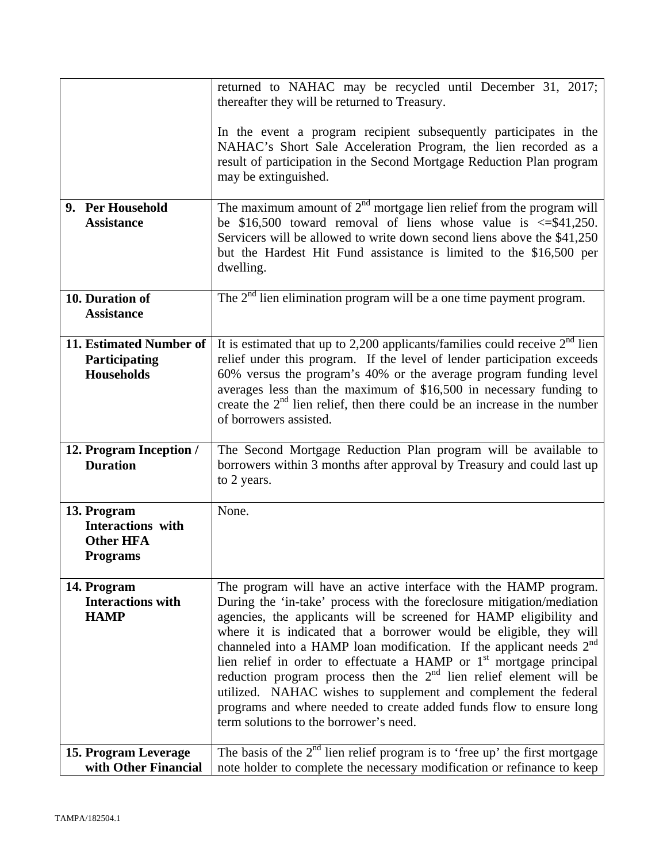|                                                                         | returned to NAHAC may be recycled until December 31, 2017;<br>thereafter they will be returned to Treasury.                                                                                                                                                                                                                                                                                                                                                                                                                                                                                                                                                                                                              |  |
|-------------------------------------------------------------------------|--------------------------------------------------------------------------------------------------------------------------------------------------------------------------------------------------------------------------------------------------------------------------------------------------------------------------------------------------------------------------------------------------------------------------------------------------------------------------------------------------------------------------------------------------------------------------------------------------------------------------------------------------------------------------------------------------------------------------|--|
|                                                                         | In the event a program recipient subsequently participates in the<br>NAHAC's Short Sale Acceleration Program, the lien recorded as a<br>result of participation in the Second Mortgage Reduction Plan program<br>may be extinguished.                                                                                                                                                                                                                                                                                                                                                                                                                                                                                    |  |
| 9. Per Household<br><b>Assistance</b>                                   | The maximum amount of $2nd$ mortgage lien relief from the program will<br>be \$16,500 toward removal of liens whose value is $\leq$ \$41,250.<br>Servicers will be allowed to write down second liens above the \$41,250<br>but the Hardest Hit Fund assistance is limited to the \$16,500 per<br>dwelling.                                                                                                                                                                                                                                                                                                                                                                                                              |  |
| 10. Duration of<br><b>Assistance</b>                                    | The $2nd$ lien elimination program will be a one time payment program.                                                                                                                                                                                                                                                                                                                                                                                                                                                                                                                                                                                                                                                   |  |
| 11. Estimated Number of<br>Participating<br><b>Households</b>           | It is estimated that up to 2,200 applicants/families could receive $2nd$ lien<br>relief under this program. If the level of lender participation exceeds<br>60% versus the program's 40% or the average program funding level<br>averages less than the maximum of \$16,500 in necessary funding to<br>create the $2nd$ lien relief, then there could be an increase in the number<br>of borrowers assisted.                                                                                                                                                                                                                                                                                                             |  |
| 12. Program Inception /<br><b>Duration</b>                              | The Second Mortgage Reduction Plan program will be available to<br>borrowers within 3 months after approval by Treasury and could last up<br>to 2 years.                                                                                                                                                                                                                                                                                                                                                                                                                                                                                                                                                                 |  |
| 13. Program<br>Interactions with<br><b>Other HFA</b><br><b>Programs</b> | None.                                                                                                                                                                                                                                                                                                                                                                                                                                                                                                                                                                                                                                                                                                                    |  |
| 14. Program<br><b>Interactions with</b><br><b>HAMP</b>                  | The program will have an active interface with the HAMP program.<br>During the 'in-take' process with the foreclosure mitigation/mediation<br>agencies, the applicants will be screened for HAMP eligibility and<br>where it is indicated that a borrower would be eligible, they will<br>channeled into a HAMP loan modification. If the applicant needs 2 <sup>nd</sup><br>lien relief in order to effectuate a HAMP or 1 <sup>st</sup> mortgage principal<br>reduction program process then the $2nd$ lien relief element will be<br>utilized. NAHAC wishes to supplement and complement the federal<br>programs and where needed to create added funds flow to ensure long<br>term solutions to the borrower's need. |  |
| 15. Program Leverage<br>with Other Financial                            | The basis of the $2nd$ lien relief program is to 'free up' the first mortgage<br>note holder to complete the necessary modification or refinance to keep                                                                                                                                                                                                                                                                                                                                                                                                                                                                                                                                                                 |  |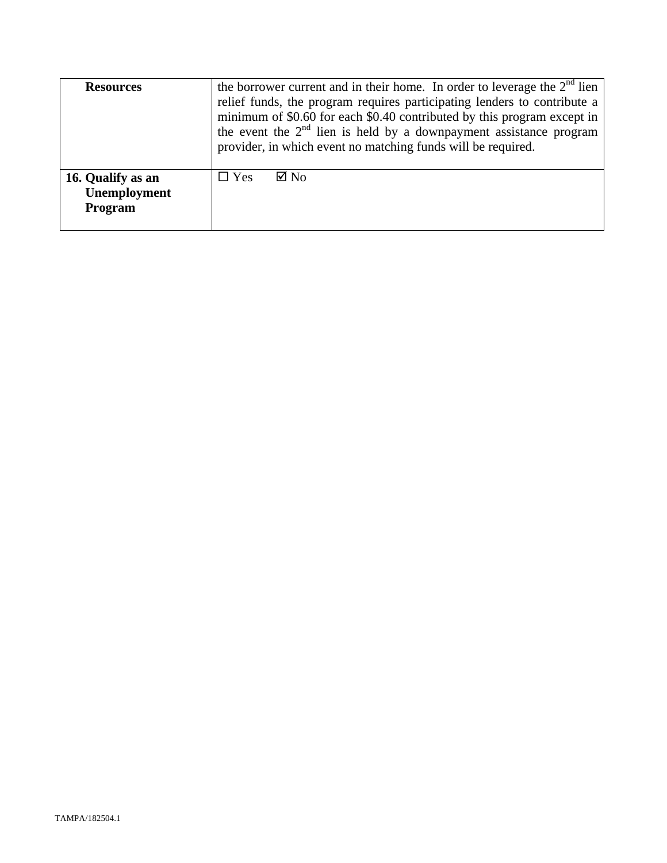| <b>Resources</b>                             | the borrower current and in their home. In order to leverage the $2nd$ lien<br>relief funds, the program requires participating lenders to contribute a<br>minimum of \$0.60 for each \$0.40 contributed by this program except in<br>the event the $2nd$ lien is held by a downpayment assistance program<br>provider, in which event no matching funds will be required. |
|----------------------------------------------|----------------------------------------------------------------------------------------------------------------------------------------------------------------------------------------------------------------------------------------------------------------------------------------------------------------------------------------------------------------------------|
| 16. Qualify as an<br>Unemployment<br>Program | $\Box$ Yes<br>$\boxtimes$ No                                                                                                                                                                                                                                                                                                                                               |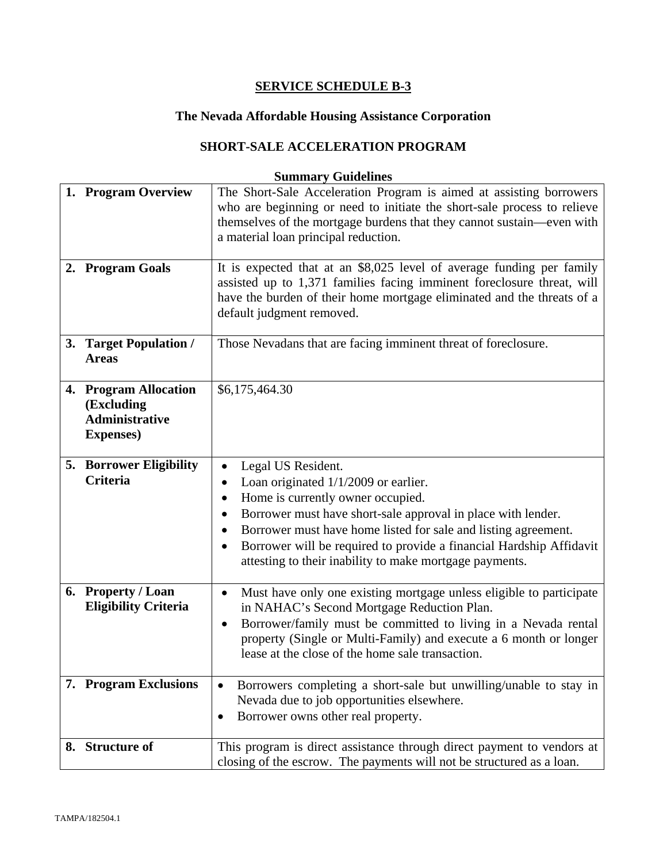# **The Nevada Affordable Housing Assistance Corporation**

# **SHORT-SALE ACCELERATION PROGRAM**

| 1. Program Overview<br>2. Program Goals                                           | The Short-Sale Acceleration Program is aimed at assisting borrowers<br>who are beginning or need to initiate the short-sale process to relieve<br>themselves of the mortgage burdens that they cannot sustain—even with<br>a material loan principal reduction.<br>It is expected that at an \$8,025 level of average funding per family                                                                             |
|-----------------------------------------------------------------------------------|----------------------------------------------------------------------------------------------------------------------------------------------------------------------------------------------------------------------------------------------------------------------------------------------------------------------------------------------------------------------------------------------------------------------|
|                                                                                   | assisted up to 1,371 families facing imminent foreclosure threat, will<br>have the burden of their home mortgage eliminated and the threats of a<br>default judgment removed.                                                                                                                                                                                                                                        |
| 3. Target Population /<br><b>Areas</b>                                            | Those Nevadans that are facing imminent threat of foreclosure.                                                                                                                                                                                                                                                                                                                                                       |
| 4. Program Allocation<br>(Excluding<br><b>Administrative</b><br><b>Expenses</b> ) | \$6,175,464.30                                                                                                                                                                                                                                                                                                                                                                                                       |
| <b>5. Borrower Eligibility</b><br><b>Criteria</b>                                 | Legal US Resident.<br>$\bullet$<br>Loan originated 1/1/2009 or earlier.<br>٠<br>Home is currently owner occupied.<br>٠<br>Borrower must have short-sale approval in place with lender.<br>$\bullet$<br>Borrower must have home listed for sale and listing agreement.<br>Borrower will be required to provide a financial Hardship Affidavit<br>$\bullet$<br>attesting to their inability to make mortgage payments. |
| 6. Property / Loan<br><b>Eligibility Criteria</b>                                 | Must have only one existing mortgage unless eligible to participate<br>$\bullet$<br>in NAHAC's Second Mortgage Reduction Plan.<br>Borrower/family must be committed to living in a Nevada rental<br>$\bullet$<br>property (Single or Multi-Family) and execute a 6 month or longer<br>lease at the close of the home sale transaction.                                                                               |
| 7. Program Exclusions                                                             | Borrowers completing a short-sale but unwilling/unable to stay in<br>٠<br>Nevada due to job opportunities elsewhere.<br>Borrower owns other real property.<br>$\bullet$                                                                                                                                                                                                                                              |
| 8. Structure of                                                                   | This program is direct assistance through direct payment to vendors at<br>closing of the escrow. The payments will not be structured as a loan.                                                                                                                                                                                                                                                                      |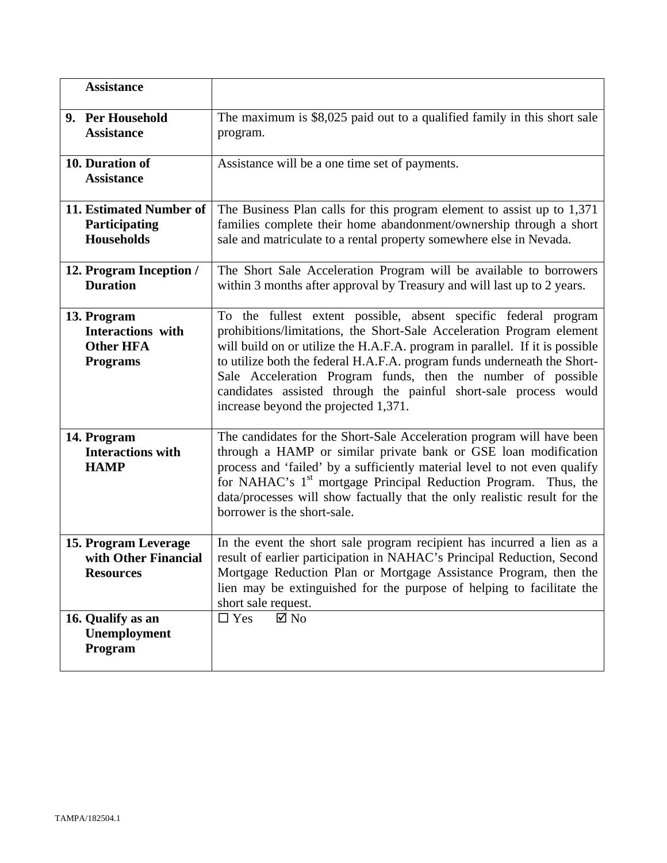| <b>Assistance</b>                                                       |                                                                                                                                                                                                                                                                                                                                                                                                                                                                                  |
|-------------------------------------------------------------------------|----------------------------------------------------------------------------------------------------------------------------------------------------------------------------------------------------------------------------------------------------------------------------------------------------------------------------------------------------------------------------------------------------------------------------------------------------------------------------------|
| 9. Per Household<br><b>Assistance</b>                                   | The maximum is \$8,025 paid out to a qualified family in this short sale<br>program.                                                                                                                                                                                                                                                                                                                                                                                             |
| 10. Duration of<br><b>Assistance</b>                                    | Assistance will be a one time set of payments.                                                                                                                                                                                                                                                                                                                                                                                                                                   |
| 11. Estimated Number of<br>Participating<br><b>Households</b>           | The Business Plan calls for this program element to assist up to 1,371<br>families complete their home abandonment/ownership through a short<br>sale and matriculate to a rental property somewhere else in Nevada.                                                                                                                                                                                                                                                              |
| 12. Program Inception /<br><b>Duration</b>                              | The Short Sale Acceleration Program will be available to borrowers<br>within 3 months after approval by Treasury and will last up to 2 years.                                                                                                                                                                                                                                                                                                                                    |
| 13. Program<br>Interactions with<br><b>Other HFA</b><br><b>Programs</b> | To the fullest extent possible, absent specific federal program<br>prohibitions/limitations, the Short-Sale Acceleration Program element<br>will build on or utilize the H.A.F.A. program in parallel. If it is possible<br>to utilize both the federal H.A.F.A. program funds underneath the Short-<br>Sale Acceleration Program funds, then the number of possible<br>candidates assisted through the painful short-sale process would<br>increase beyond the projected 1,371. |
| 14. Program<br><b>Interactions with</b><br><b>HAMP</b>                  | The candidates for the Short-Sale Acceleration program will have been<br>through a HAMP or similar private bank or GSE loan modification<br>process and 'failed' by a sufficiently material level to not even qualify<br>for NAHAC's 1 <sup>st</sup> mortgage Principal Reduction Program. Thus, the<br>data/processes will show factually that the only realistic result for the<br>borrower is the short-sale.                                                                 |
| 15. Program Leverage<br>with Other Financial<br><b>Resources</b>        | In the event the short sale program recipient has incurred a lien as a<br>result of earlier participation in NAHAC's Principal Reduction, Second<br>Mortgage Reduction Plan or Mortgage Assistance Program, then the<br>lien may be extinguished for the purpose of helping to facilitate the<br>short sale request.                                                                                                                                                             |
| 16. Qualify as an<br>Unemployment<br>Program                            | $\Box$ Yes<br>$\boxtimes$ No                                                                                                                                                                                                                                                                                                                                                                                                                                                     |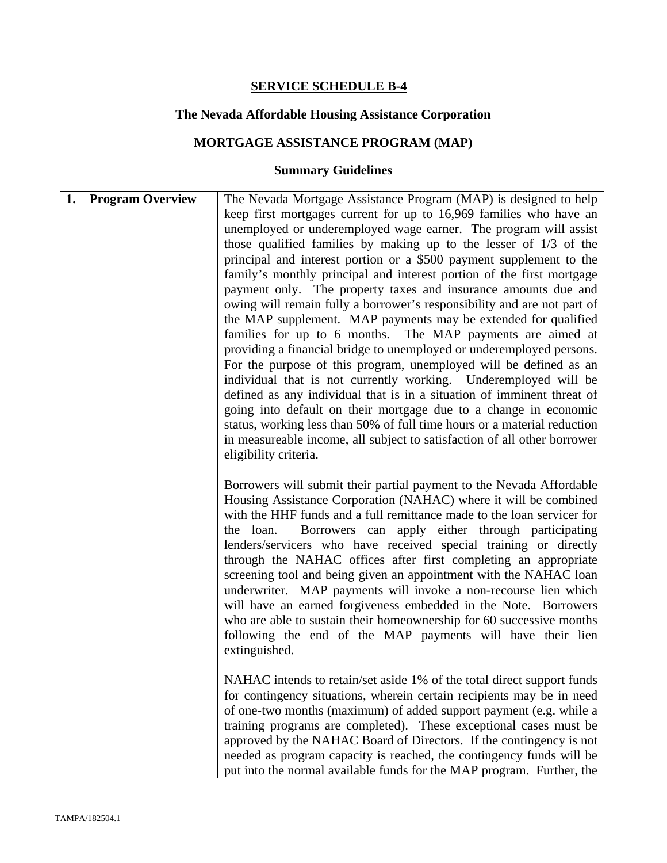# **The Nevada Affordable Housing Assistance Corporation**

# **MORTGAGE ASSISTANCE PROGRAM (MAP)**

| <b>Program Overview</b><br>1. | The Nevada Mortgage Assistance Program (MAP) is designed to help<br>keep first mortgages current for up to 16,969 families who have an<br>unemployed or underemployed wage earner. The program will assist<br>those qualified families by making up to the lesser of $1/3$ of the<br>principal and interest portion or a \$500 payment supplement to the<br>family's monthly principal and interest portion of the first mortgage<br>payment only. The property taxes and insurance amounts due and<br>owing will remain fully a borrower's responsibility and are not part of<br>the MAP supplement. MAP payments may be extended for qualified<br>families for up to 6 months. The MAP payments are aimed at<br>providing a financial bridge to unemployed or underemployed persons.<br>For the purpose of this program, unemployed will be defined as an<br>individual that is not currently working. Underemployed will be<br>defined as any individual that is in a situation of imminent threat of<br>going into default on their mortgage due to a change in economic<br>status, working less than 50% of full time hours or a material reduction<br>in measureable income, all subject to satisfaction of all other borrower<br>eligibility criteria. |
|-------------------------------|---------------------------------------------------------------------------------------------------------------------------------------------------------------------------------------------------------------------------------------------------------------------------------------------------------------------------------------------------------------------------------------------------------------------------------------------------------------------------------------------------------------------------------------------------------------------------------------------------------------------------------------------------------------------------------------------------------------------------------------------------------------------------------------------------------------------------------------------------------------------------------------------------------------------------------------------------------------------------------------------------------------------------------------------------------------------------------------------------------------------------------------------------------------------------------------------------------------------------------------------------------------|
|                               | Borrowers will submit their partial payment to the Nevada Affordable<br>Housing Assistance Corporation (NAHAC) where it will be combined<br>with the HHF funds and a full remittance made to the loan servicer for<br>Borrowers can apply either through participating<br>the loan.<br>lenders/servicers who have received special training or directly<br>through the NAHAC offices after first completing an appropriate<br>screening tool and being given an appointment with the NAHAC loan<br>underwriter. MAP payments will invoke a non-recourse lien which<br>will have an earned forgiveness embedded in the Note. Borrowers<br>who are able to sustain their homeownership for 60 successive months<br>following the end of the MAP payments will have their lien<br>extinguished.                                                                                                                                                                                                                                                                                                                                                                                                                                                                  |
|                               | NAHAC intends to retain/set aside 1% of the total direct support funds<br>for contingency situations, wherein certain recipients may be in need<br>of one-two months (maximum) of added support payment (e.g. while a<br>training programs are completed). These exceptional cases must be<br>approved by the NAHAC Board of Directors. If the contingency is not<br>needed as program capacity is reached, the contingency funds will be<br>put into the normal available funds for the MAP program. Further, the                                                                                                                                                                                                                                                                                                                                                                                                                                                                                                                                                                                                                                                                                                                                            |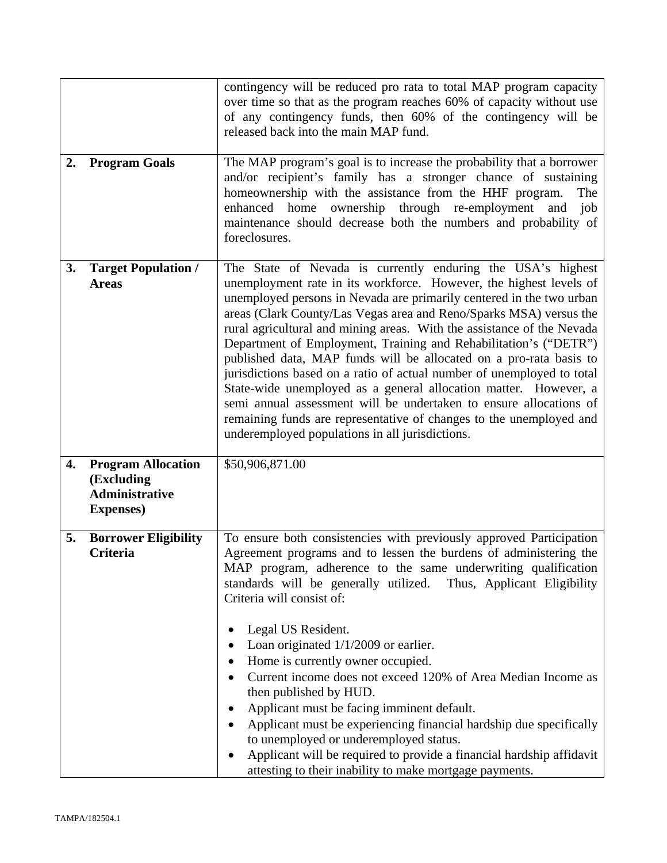|    |                                                                                       | contingency will be reduced pro rata to total MAP program capacity<br>over time so that as the program reaches 60% of capacity without use<br>of any contingency funds, then 60% of the contingency will be<br>released back into the main MAP fund.                                                                                                                                                                                                                                                                                                                                                                                                                                                                                                                                                                                              |
|----|---------------------------------------------------------------------------------------|---------------------------------------------------------------------------------------------------------------------------------------------------------------------------------------------------------------------------------------------------------------------------------------------------------------------------------------------------------------------------------------------------------------------------------------------------------------------------------------------------------------------------------------------------------------------------------------------------------------------------------------------------------------------------------------------------------------------------------------------------------------------------------------------------------------------------------------------------|
| 2. | <b>Program Goals</b>                                                                  | The MAP program's goal is to increase the probability that a borrower<br>and/or recipient's family has a stronger chance of sustaining<br>homeownership with the assistance from the HHF program.<br>The<br>enhanced home ownership through re-employment<br>and<br>job<br>maintenance should decrease both the numbers and probability of<br>foreclosures.                                                                                                                                                                                                                                                                                                                                                                                                                                                                                       |
| 3. | <b>Target Population /</b><br><b>Areas</b>                                            | The State of Nevada is currently enduring the USA's highest<br>unemployment rate in its workforce. However, the highest levels of<br>unemployed persons in Nevada are primarily centered in the two urban<br>areas (Clark County/Las Vegas area and Reno/Sparks MSA) versus the<br>rural agricultural and mining areas. With the assistance of the Nevada<br>Department of Employment, Training and Rehabilitation's ("DETR")<br>published data, MAP funds will be allocated on a pro-rata basis to<br>jurisdictions based on a ratio of actual number of unemployed to total<br>State-wide unemployed as a general allocation matter. However, a<br>semi annual assessment will be undertaken to ensure allocations of<br>remaining funds are representative of changes to the unemployed and<br>underemployed populations in all jurisdictions. |
| 4. | <b>Program Allocation</b><br>(Excluding<br><b>Administrative</b><br><b>Expenses</b> ) | \$50,906,871.00                                                                                                                                                                                                                                                                                                                                                                                                                                                                                                                                                                                                                                                                                                                                                                                                                                   |
| 5. | <b>Borrower Eligibility</b><br><b>Criteria</b>                                        | To ensure both consistencies with previously approved Participation<br>Agreement programs and to lessen the burdens of administering the<br>MAP program, adherence to the same underwriting qualification<br>standards will be generally utilized. Thus, Applicant Eligibility<br>Criteria will consist of:<br>Legal US Resident.<br>$\bullet$<br>Loan originated $1/1/2009$ or earlier.<br>Home is currently owner occupied.<br>Current income does not exceed 120% of Area Median Income as<br>then published by HUD.<br>Applicant must be facing imminent default.<br>Applicant must be experiencing financial hardship due specifically<br>to unemployed or underemployed status.<br>Applicant will be required to provide a financial hardship affidavit<br>attesting to their inability to make mortgage payments.                          |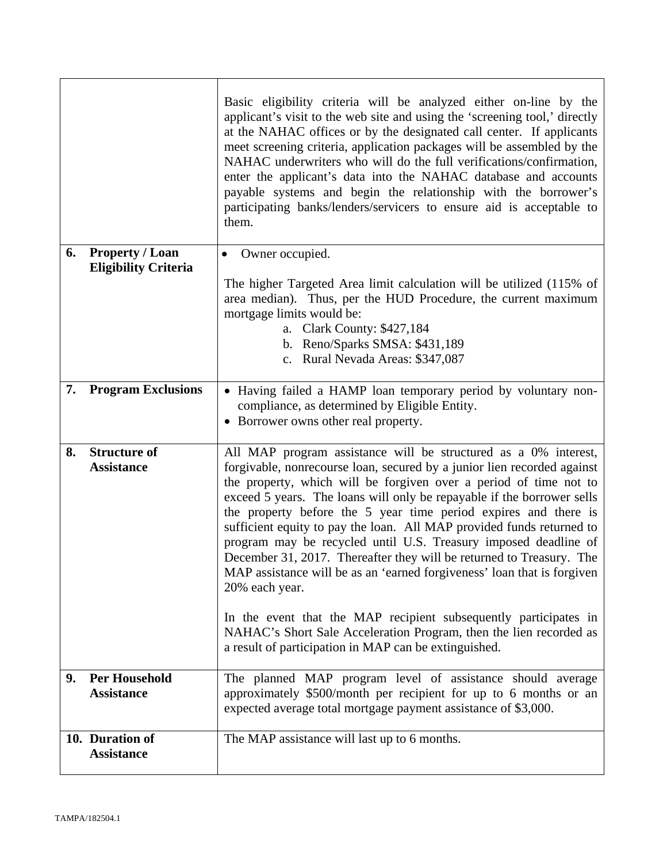|    |                             | Basic eligibility criteria will be analyzed either on-line by the<br>applicant's visit to the web site and using the 'screening tool,' directly<br>at the NAHAC offices or by the designated call center. If applicants<br>meet screening criteria, application packages will be assembled by the<br>NAHAC underwriters who will do the full verifications/confirmation,<br>enter the applicant's data into the NAHAC database and accounts<br>payable systems and begin the relationship with the borrower's<br>participating banks/lenders/servicers to ensure aid is acceptable to<br>them.                                                                                                                                                                                                                |
|----|-----------------------------|---------------------------------------------------------------------------------------------------------------------------------------------------------------------------------------------------------------------------------------------------------------------------------------------------------------------------------------------------------------------------------------------------------------------------------------------------------------------------------------------------------------------------------------------------------------------------------------------------------------------------------------------------------------------------------------------------------------------------------------------------------------------------------------------------------------|
| 6. | <b>Property / Loan</b>      | Owner occupied.<br>٠                                                                                                                                                                                                                                                                                                                                                                                                                                                                                                                                                                                                                                                                                                                                                                                          |
|    | <b>Eligibility Criteria</b> |                                                                                                                                                                                                                                                                                                                                                                                                                                                                                                                                                                                                                                                                                                                                                                                                               |
|    |                             | The higher Targeted Area limit calculation will be utilized (115% of<br>area median). Thus, per the HUD Procedure, the current maximum<br>mortgage limits would be:<br>a. Clark County: \$427,184<br>b. Reno/Sparks SMSA: \$431,189<br>c. Rural Nevada Areas: \$347,087                                                                                                                                                                                                                                                                                                                                                                                                                                                                                                                                       |
| 7. | <b>Program Exclusions</b>   | • Having failed a HAMP loan temporary period by voluntary non-                                                                                                                                                                                                                                                                                                                                                                                                                                                                                                                                                                                                                                                                                                                                                |
|    |                             | compliance, as determined by Eligible Entity.                                                                                                                                                                                                                                                                                                                                                                                                                                                                                                                                                                                                                                                                                                                                                                 |
|    |                             | • Borrower owns other real property.                                                                                                                                                                                                                                                                                                                                                                                                                                                                                                                                                                                                                                                                                                                                                                          |
| 8. | <b>Structure of</b>         | All MAP program assistance will be structured as a 0% interest,                                                                                                                                                                                                                                                                                                                                                                                                                                                                                                                                                                                                                                                                                                                                               |
|    | <b>Assistance</b>           | forgivable, nonrecourse loan, secured by a junior lien recorded against<br>the property, which will be forgiven over a period of time not to<br>exceed 5 years. The loans will only be repayable if the borrower sells<br>the property before the 5 year time period expires and there is<br>sufficient equity to pay the loan. All MAP provided funds returned to<br>program may be recycled until U.S. Treasury imposed deadline of<br>December 31, 2017. Thereafter they will be returned to Treasury. The<br>MAP assistance will be as an 'earned forgiveness' loan that is forgiven<br>20% each year.<br>In the event that the MAP recipient subsequently participates in<br>NAHAC's Short Sale Acceleration Program, then the lien recorded as<br>a result of participation in MAP can be extinguished. |
| 9. | <b>Per Household</b>        | The planned MAP program level of assistance should average                                                                                                                                                                                                                                                                                                                                                                                                                                                                                                                                                                                                                                                                                                                                                    |
|    | <b>Assistance</b>           | approximately \$500/month per recipient for up to 6 months or an<br>expected average total mortgage payment assistance of \$3,000.                                                                                                                                                                                                                                                                                                                                                                                                                                                                                                                                                                                                                                                                            |
|    | 10. Duration of             | The MAP assistance will last up to 6 months.                                                                                                                                                                                                                                                                                                                                                                                                                                                                                                                                                                                                                                                                                                                                                                  |
|    | <b>Assistance</b>           |                                                                                                                                                                                                                                                                                                                                                                                                                                                                                                                                                                                                                                                                                                                                                                                                               |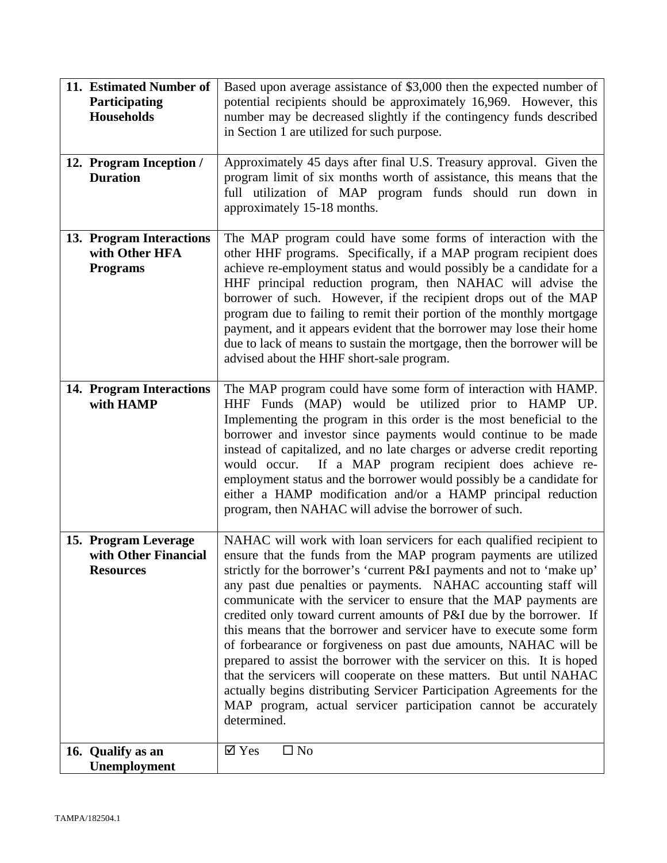| 11. Estimated Number of<br>Participating<br><b>Households</b>    | Based upon average assistance of \$3,000 then the expected number of<br>potential recipients should be approximately 16,969. However, this<br>number may be decreased slightly if the contingency funds described<br>in Section 1 are utilized for such purpose.                                                                                                                                                                                                                                                                                                                                                                                                                                                                                                                                                                                                                         |
|------------------------------------------------------------------|------------------------------------------------------------------------------------------------------------------------------------------------------------------------------------------------------------------------------------------------------------------------------------------------------------------------------------------------------------------------------------------------------------------------------------------------------------------------------------------------------------------------------------------------------------------------------------------------------------------------------------------------------------------------------------------------------------------------------------------------------------------------------------------------------------------------------------------------------------------------------------------|
| 12. Program Inception /<br><b>Duration</b>                       | Approximately 45 days after final U.S. Treasury approval. Given the<br>program limit of six months worth of assistance, this means that the<br>full utilization of MAP program funds should run down in<br>approximately 15-18 months.                                                                                                                                                                                                                                                                                                                                                                                                                                                                                                                                                                                                                                                   |
| 13. Program Interactions<br>with Other HFA<br><b>Programs</b>    | The MAP program could have some forms of interaction with the<br>other HHF programs. Specifically, if a MAP program recipient does<br>achieve re-employment status and would possibly be a candidate for a<br>HHF principal reduction program, then NAHAC will advise the<br>borrower of such. However, if the recipient drops out of the MAP<br>program due to failing to remit their portion of the monthly mortgage<br>payment, and it appears evident that the borrower may lose their home<br>due to lack of means to sustain the mortgage, then the borrower will be<br>advised about the HHF short-sale program.                                                                                                                                                                                                                                                                  |
| 14. Program Interactions<br>with HAMP                            | The MAP program could have some form of interaction with HAMP.<br>HHF Funds (MAP) would be utilized prior to HAMP UP.<br>Implementing the program in this order is the most beneficial to the<br>borrower and investor since payments would continue to be made<br>instead of capitalized, and no late charges or adverse credit reporting<br>would occur. If a MAP program recipient does achieve re-<br>employment status and the borrower would possibly be a candidate for<br>either a HAMP modification and/or a HAMP principal reduction<br>program, then NAHAC will advise the borrower of such.                                                                                                                                                                                                                                                                                  |
| 15. Program Leverage<br>with Other Financial<br><b>Resources</b> | NAHAC will work with loan servicers for each qualified recipient to<br>ensure that the funds from the MAP program payments are utilized<br>strictly for the borrower's 'current P&I payments and not to 'make up'<br>any past due penalties or payments. NAHAC accounting staff will<br>communicate with the servicer to ensure that the MAP payments are<br>credited only toward current amounts of P&I due by the borrower. If<br>this means that the borrower and servicer have to execute some form<br>of forbearance or forgiveness on past due amounts, NAHAC will be<br>prepared to assist the borrower with the servicer on this. It is hoped<br>that the servicers will cooperate on these matters. But until NAHAC<br>actually begins distributing Servicer Participation Agreements for the<br>MAP program, actual servicer participation cannot be accurately<br>determined. |
| 16. Qualify as an<br>Unemployment                                | $\square$ No<br>$\overline{\triangle}$ Yes                                                                                                                                                                                                                                                                                                                                                                                                                                                                                                                                                                                                                                                                                                                                                                                                                                               |